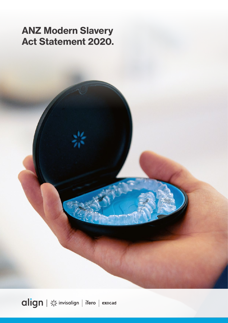# ANZ Modern Slavery Act Statement 2020.

align | \* invisalign | iTero | exocad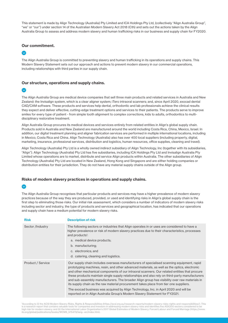This statement is made by Align Technology (Australia) Pty Limited and ICA Holdings Pty Ltd, (collectively "Align Australia Group", "we" or "our") under section 14 of the Australian Modern Slavery Act 2018 (Cth) and sets out the actions taken by the Align Australia Group to assess and address modern slavery and human trafficking risks in our business and supply chain for FY2020.

# Our commitment.

 $\bullet$ 

The Align Australia Group is committed to preventing slavery and human trafficking in its operations and supply chains. This Modern Slavery Statement sets out our approach and actions to prevent modern slavery in our commercial operations, including relationships with third parties in our supply chain.

### Our structure, operations and supply chains.

# $\bullet$

The Align Australia Group are medical device companies that sell three main products and related services in Australia and New Zealand: the Invisalign system, which is a clear aligner system; iTero intraoral scanners; and, since April 2020, exocad dental CAD/CAM software. These products and services help dental, orthodontic and lab professionals achieve the clinical results they expect and deliver effective, cutting-edge treatment options and services to their patients. The products serve to improve smiles for every type of patient - from simple tooth alignment to complex corrections, kids to adults, orthodontics to multidisciplinary restorative treatment.

Align Australia Group procures its medical devices and services entirely from related entities in Align's global supply chain. Products sold in Australia and New Zealand are manufactured around the world including Costa Rica, China, Mexico, Israel. In addition, our digital treatment planning and aligner fabrication services are performed in multiple international locations, including in Mexico, Costa Rica and China, Align Technology (Australia) also has over 400 local suppliers (including property, digital, marketing, insurance, professional services, distribution and logistics, human resources, office supplies, cleaning and travel).

Align Technology (Australia) Pty Ltd is a wholly owned indirect subsidiary of Align Technology, Inc (together with its subsidiaries, "Align"). Align Technology (Australia) Pty Ltd has five subsidiaries, including ICA Holdings Pty Ltd and Invisalign Australia Pty Limited whose operations are to market, distribute and service Align products within Australia. The other subsidiaries of Align Technology (Australia) Pty Ltd are located in New Zealand, Hong Kong and Singapore and are either holding companies or distribution entities for their jurisdiction. They do not have any material supply chains outside of the Align group.

### Risks of modern slavery practices in operations and supply chains.

# $\bullet$

The Align Australia Group recognises that particular products and services may have a higher prevalence of modern slavery practices because of the way they are produced, provided, or used and identifying risks in Align's global supply chain is the first step to eliminating those risks. Our initial risk assessment, which considers a number of indicators of modern slavery risks including sector and industry, the type of products and services and geographical location, has indicated that our operations and supply chain have a medium potential for modern slavery risks.

| <b>Risk</b>       | <b>Description of risk</b>                                                                                                                                                                                                                                                                                                                                                                                                                                                                                                                                                                                                                                                                                                                                  |
|-------------------|-------------------------------------------------------------------------------------------------------------------------------------------------------------------------------------------------------------------------------------------------------------------------------------------------------------------------------------------------------------------------------------------------------------------------------------------------------------------------------------------------------------------------------------------------------------------------------------------------------------------------------------------------------------------------------------------------------------------------------------------------------------|
| Sector /Industry  | The following sectors or industries that Align operates in or uses are considered to have a<br>higher prevalence or risk of modern slavery practices due to their characteristics, processes<br>and products <sup>1</sup> :<br>a. medical device products;<br>b. manufacturing;<br>c. electronics; and<br>d. catering, cleaning and logistics.                                                                                                                                                                                                                                                                                                                                                                                                              |
| Product / Service | Our supply chain includes overseas manufacturers of specialised scanning equipment, rapid<br>prototyping machines, resin, and other advanced materials, as well as the optics, electronic<br>and other mechanical components of our intraoral scanners. Our related entities that procure<br>these products maintain single supply relationships and also rely on third-party manufacturers<br>and sub-assembly manufacturers. The broader Align group has visibility over raw materials in<br>its supply chain as the raw material procurement takes place from tier one suppliers.<br>The exocad business was acquired by Align Technology, Inc. in April 2020 and will be<br>reported on in Align Australia Group's Modern Slavery Statement for FY2021. |

1 According to (i) the ACSI Modern Slavery Risks, Rights & Responsibilities (https://acsi.org.au/research-reports/modern-slavery-risks-rights-and-responsibilities/). This is a research report that contains valuable tools for companies and investors in addressing modern slavery risks and identifies five ASX200 sectors considered to be high risk for modern slavery; and (ii) the International Labor Organization's 2017 Global Estimates of Modern Slavery: Forced Labour and Forced Marriage (https://www. ilo.org/global/publications/books/WCMS\_575479/lang--en/index.htm).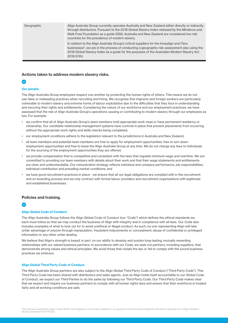| Geographic | Align Australia Group currently operates Australia and New Zealand either directly or indirectly<br>through distributors. Pursuant to the 2018 Global Slavery Index released by the Minderoo and<br>Walk Free Foundation as a quide (GSI), Australia and New Zealand are considered low risk<br>countries for the prevalence of modern slavery. |
|------------|-------------------------------------------------------------------------------------------------------------------------------------------------------------------------------------------------------------------------------------------------------------------------------------------------------------------------------------------------|
|            | In relation to the Align Australia Group's critical suppliers for the Invisalign and iTero<br>businesses <sup>2</sup> , we are in the process of conducting a geographic risk assessment also using the<br>2018 Global Slavery Index as a quide for the purposes of the Australian Modern Slavery Act<br>2018 (Cth).                            |

### Actions taken to address modern slavery risks.

# $\bullet$

#### Our people.

The Align Australia Group employees respect one another by protecting the human rights of others. This means we do not use false or misleading practices when recruiting and hiring. We recognise that migrants and foreign workers are particularly vulnerable to modern slavery and extreme forms of labour exploitation due to the difficulties that they face in understanding and securing their rights and entitlements. Considering the nature of our workforce and our employment practices, we have assessed that the risk of Align Australia Group's operations causing or contributing to modern slavery through our employees as low. For example:

- we confirm that all of Align Australia Group's team members hold appropriate work visas or have permanent residency or citizenship. Our candidate relationship management systems have controls in place that prevent placements from occurring without the appropriate work rights and skills checks being completed;
- our employment conditions adhere to the legislation relevant to the jurisdictions in Australia and New Zealand;
- all team members and potential team members are free to apply for employment opportunities, free to turn down employment opportunities and free to leave the Align Australia Group at any time. We do not charge any fees to individuals for the sourcing of the employment opportunities they are offered;
- we provide compensation that is competitive and consistent with the laws that regulate minimum wage and overtime. We are committed to providing our team members with details about their work and that their wage statements and entitlements are clear and understandable. Our remuneration strategy reflects individual and company performance, job responsibilities, individual contribution and prevailing market conditions; and
- we have good recruitment practices in place we ensure that all our legal obligations are complied with in the recruitment and on-boarding process and we only contract with formal labour providers and recruitment organisations with legitimate and established businesses.

### Policies and training.

#### Align Global Code of Conduct.

The Align Australia Group follows the Align Global Code of Conduct (our "Code") which defines the ethical standards we each must follow so that we may conduct the business of Align with integrity and in compliance with all laws. Our Code also includes examples of what to look out for to avoid unethical or illegal conduct. As such, no one representing Align will take unfair advantage of anyone through manipulation, fraudulent inducements or concealment, abuse of confidential or privileged information or any other unfair dealing.

We believe that Align's strength is based, in part, on our ability to develop and sustain long-lasting, mutually rewarding relationships with our valued business partners. In accordance with our Code, we seek out partners, including suppliers, that demonstrate strong values and ethical principles. We avoid those that violate the law or fail to comply with the sound business practices we embrace.

#### Align Global Third Party Code of Conduct.

The Align Australia Group partners are also subject to the Align Global Third Party Code of Conduct ("Third Party Code"). This Third Party Code has been shared with distributors and sales agents. Just as Align holds itself accountable to our Global Code of Conduct, we expect our Third Parties to do the same by following our Third Party Code. Our Third Party Code makes clear that we expect and require our business partners to comply with all human rights laws and ensure that their workforce is treated fairly and all working conditions are safe.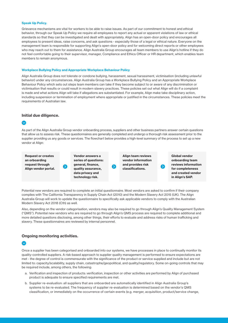#### Speak Up Policy.

Grievance mechanisms are vital for workers to be able to raise issues. As part of our commitment to honest and ethical behavior, through our Speak Up Policy we require all employees to report any actual or apparent violations of law or ethical standards so that they can be investigated and dealt with appropriately. Align has an open-door policy and encourages all employees to present ideas, raise concerns, and ask questions - especially those of a legal or ethical nature. Everyone on the management team is responsible for supporting Align's open-door policy and for welcoming direct reports or other employees who may reach out to them for assistance. Align Australia Group encourages all team members to use Align's hotline if they do not feel comfortable going to their supervisor, manager, Compliance and Ethics Officer or HR department, which enables team members to remain anonymous.

#### Workplace Bullying Policy and Appropriate Workplace Behaviour Policy

Align Australia Group does not tolerate or condone bullying, harassment, sexual harassment, victimisation (including unlawful behavior) under any circumstances. Align Australia Group has a Workplace Bullying Policy and an Appropriate Workplace Behaviour Policy which sets out steps team members can take if they become subject to or aware of any discrimination or victimisation that results or could result in modern slavery practices. These policies set out what Align will do if a complaint is made and what actions Align will take if allegations are substantiated. For example, Align make take disciplinary action, including suspension or termination of employment where appropriate or justified in the circumstances. These policies meet the requirements of Australian law.

#### Initial due diligence.

As part of the Align Australia Group vendor onboarding process, suppliers and other business partners answer certain questions that allow us to assess risk. These questionnaires are generally completed and undergo a thorough risk assessment prior to the supplier providing us any goods or services. The flowchart below provides a high-level summary of the process to set up a new vendor at Align:

Request or creates an orboarding request through Align vendor portal. Vendor answers a series of questions: general, finance, quality assurance, data privacy and technology risk.

Align team reviews vendor information and provides risk classifications.

Global vendor onboarding team reviews information for completeness and created vendor in Align's SAP.

Potential new vendors are required to complete an initial questionnaire. Most vendors are asked to confirm if their company complies with The California Transparency in Supply Chain Act (2010) and the Modern Slavery Act 2015 (UK). The Align Australia Group will work to update the questionnaire to specifically ask applicable vendors to comply with the Australian Modern Slavery Act 2018 (Cth) as well.

Also, depending on the vendor categorisation, vendors may also be required to go through Align's Quality Management System ("QMS"). Potential new vendors who are required to go through Align's QMS process are required to complete additional and more detailed questions disclosing, among other things, their efforts to evaluate and address risks of human trafficking and slavery. These questionnaires are reviewed by internal personnel.

#### Ongoing monitoring activities.

Once a supplier has been categorised and onboarded into our systems, we have processes in place to continually monitor its quality-controlled suppliers. A risk-based approach to supplier quality management is performed to ensure expectations are met - the degree of control is commensurate with the significance of the product or service supplied and include but are not limited to: capacity/scalability, supply chain, catastrophe/geopolitical, and quality/regulatory. Some on-going controls that may be required include, among others, the following:

- a. Verification and inspection of products: verification, inspection or other activities are performed by Align of purchased product is adequate to ensure specified requirements are met.
- b. Supplier re-evaluation: all suppliers that are onboarded are automatically identified in Align Australia Group's systems to be re-evaluated. The frequency of supplier re-evaluation is determined based on the vendor's QMS classification, or immediately on the occurrence of certain events (e.g. merger, acquisition, product/service change,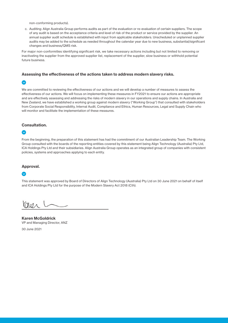non-conforming products).

c. Auditing: Align Australia Group performs audits as part of the evaluation or re-evaluation of certain suppliers. The scope of any audit is based on the acceptance criteria and level of risk of the product or service provided by the supplier. An annual supplier audit schedule is established with input from applicable stakeholders. Unscheduled or unplanned supplier audits may be added to the schedule as needed throughout the calendar year due to new business, substantial/significant changes and business/QMS risk.

For major non-conformities identifying significant risk, we take necessary actions including but not limited to removing or inactivating the supplier from the approved supplier list, replacement of the supplier, slow business or withhold potential future business.

#### Assessing the effectiveness of the actions taken to address modern slavery risks.



We are committed to reviewing the effectiveness of our actions and we will develop a number of measures to assess the effectiveness of our actions. We will focus on implementing these measures in FY2021 to ensure our actions are appropriate and are effectively assessing and addressing the risks of modern slavery in our operations and supply chains. In Australia and New Zealand, we have established a working group against modern slavery ("Working Group") that consulted with stakeholders from Corporate Social Responsibility, Internal Audit, Compliance and Ethics, Human Resources, Legal and Supply Chain who will monitor and facilitate the implementation of these measures.

# Consultation.

### $\bullet$

From the beginning, the preparation of this statement has had the commitment of our Australian Leadership Team. The Working Group consulted with the boards of the reporting entities covered by this statement being Align Technology (Australia) Pty Ltd, ICA Holdings Pty Ltd and their subsidiaries. Align Australia Group operates as an integrated group of companies with consistent policies, systems and approaches applying to each entity.

#### Approval.

# $\bullet$

This statement was approved by Board of Directors of Align Technology (Australia) Pty Ltd on 30 June 2021 on behalf of itself and ICA Holdings Pty Ltd for the purpose of the Modern Slavery Act 2018 (Cth).

 $QU0\wedge$ 

Karen McGoldrick VP and Managing Director, ANZ

30 June 2021